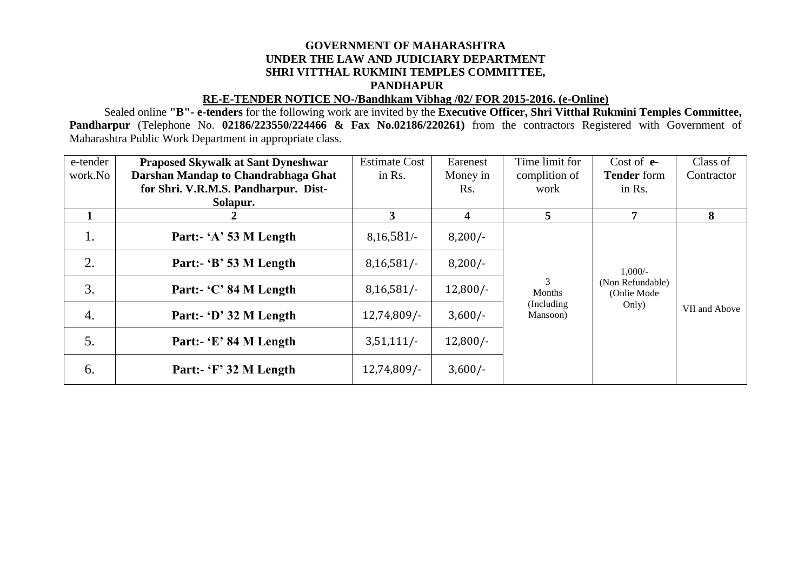## **GOVERNMENT OF MAHARASHTRA UNDER THE LAW AND JUDICIARY DEPARTMENT SHRI VITTHAL RUKMINI TEMPLES COMMITTEE, PANDHAPUR**

## **RE-E-TENDER NOTICE NO-/Bandhkam Vibhag /02/ FOR 2015-2016. (e-Online)**

Sealed online **"B"- e-tenders** for the following work are invited by the **Executive Officer, Shri Vitthal Rukmini Temples Committee, Pandharpur** (Telephone No. **02186/223550/224466 & Fax No.02186/220261)** from the contractors Registered with Government of Maharashtra Public Work Department in appropriate class.

| e-tender | <b>Praposed Skywalk at Sant Dyneshwar</b> | <b>Estimate Cost</b> | Earenest   | Time limit for                                  | Cost of $e$ -                                | Class of      |
|----------|-------------------------------------------|----------------------|------------|-------------------------------------------------|----------------------------------------------|---------------|
| work.No  | Darshan Mandap to Chandrabhaga Ghat       | in Rs.               | Money in   | complition of                                   | <b>Tender</b> form                           | Contractor    |
|          | for Shri. V.R.M.S. Pandharpur. Dist-      |                      | Rs.        | work                                            | in Rs.                                       |               |
|          | Solapur.                                  |                      |            |                                                 |                                              |               |
|          |                                           | 3                    | 4          | 5                                               | 7                                            | 8             |
| 1.       | Part:- 'A' 53 M Length                    | 8,16,581/            | $8,200/-$  | 3<br>Months<br>(Including)<br>Only)<br>Mansoon) | $1,000/-$<br>(Non Refundable)<br>(Onlie Mode | VII and Above |
| 2.       | Part:- 'B' 53 M Length                    | $8,16,581/-$         | $8,200/-$  |                                                 |                                              |               |
| 3.       | Part:- 'C' 84 M Length                    | 8,16,581/            | $12,800/-$ |                                                 |                                              |               |
| 4.       | Part:- 'D' 32 M Length                    | $12,74,809/-$        | $3,600/-$  |                                                 |                                              |               |
| 5.       | Part:- 'E' 84 M Length                    | 3,51,111/            | $12,800/-$ |                                                 |                                              |               |
| 6.       | Part:- 'F' 32 M Length                    | $12,74,809/$ -       | $3,600/-$  |                                                 |                                              |               |